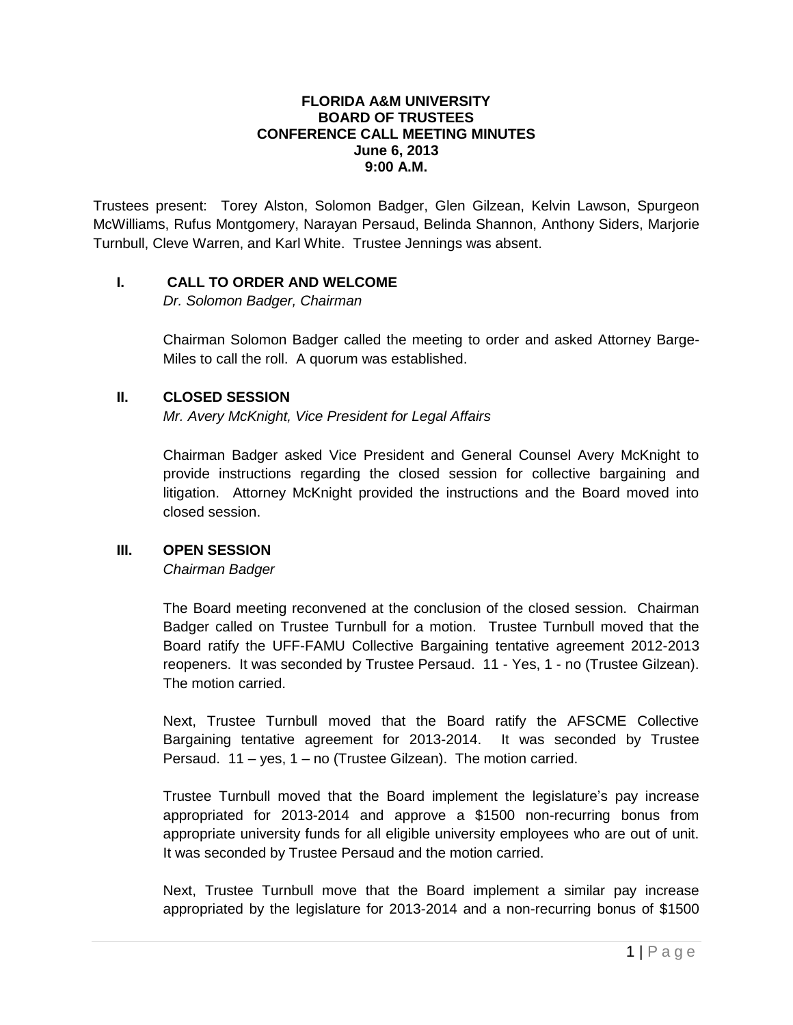#### **FLORIDA A&M UNIVERSITY BOARD OF TRUSTEES CONFERENCE CALL MEETING MINUTES June 6, 2013 9:00 A.M.**

Trustees present: Torey Alston, Solomon Badger, Glen Gilzean, Kelvin Lawson, Spurgeon McWilliams, Rufus Montgomery, Narayan Persaud, Belinda Shannon, Anthony Siders, Marjorie Turnbull, Cleve Warren, and Karl White. Trustee Jennings was absent.

#### **I. CALL TO ORDER AND WELCOME**

*Dr. Solomon Badger, Chairman*

Chairman Solomon Badger called the meeting to order and asked Attorney Barge-Miles to call the roll. A quorum was established.

### **II. CLOSED SESSION**

*Mr. Avery McKnight, Vice President for Legal Affairs*

Chairman Badger asked Vice President and General Counsel Avery McKnight to provide instructions regarding the closed session for collective bargaining and litigation. Attorney McKnight provided the instructions and the Board moved into closed session.

### **III. OPEN SESSION**

*Chairman Badger*

The Board meeting reconvened at the conclusion of the closed session. Chairman Badger called on Trustee Turnbull for a motion. Trustee Turnbull moved that the Board ratify the UFF-FAMU Collective Bargaining tentative agreement 2012-2013 reopeners. It was seconded by Trustee Persaud. 11 - Yes, 1 - no (Trustee Gilzean). The motion carried.

Next, Trustee Turnbull moved that the Board ratify the AFSCME Collective Bargaining tentative agreement for 2013-2014. It was seconded by Trustee Persaud. 11 – yes, 1 – no (Trustee Gilzean). The motion carried.

Trustee Turnbull moved that the Board implement the legislature's pay increase appropriated for 2013-2014 and approve a \$1500 non-recurring bonus from appropriate university funds for all eligible university employees who are out of unit. It was seconded by Trustee Persaud and the motion carried.

Next, Trustee Turnbull move that the Board implement a similar pay increase appropriated by the legislature for 2013-2014 and a non-recurring bonus of \$1500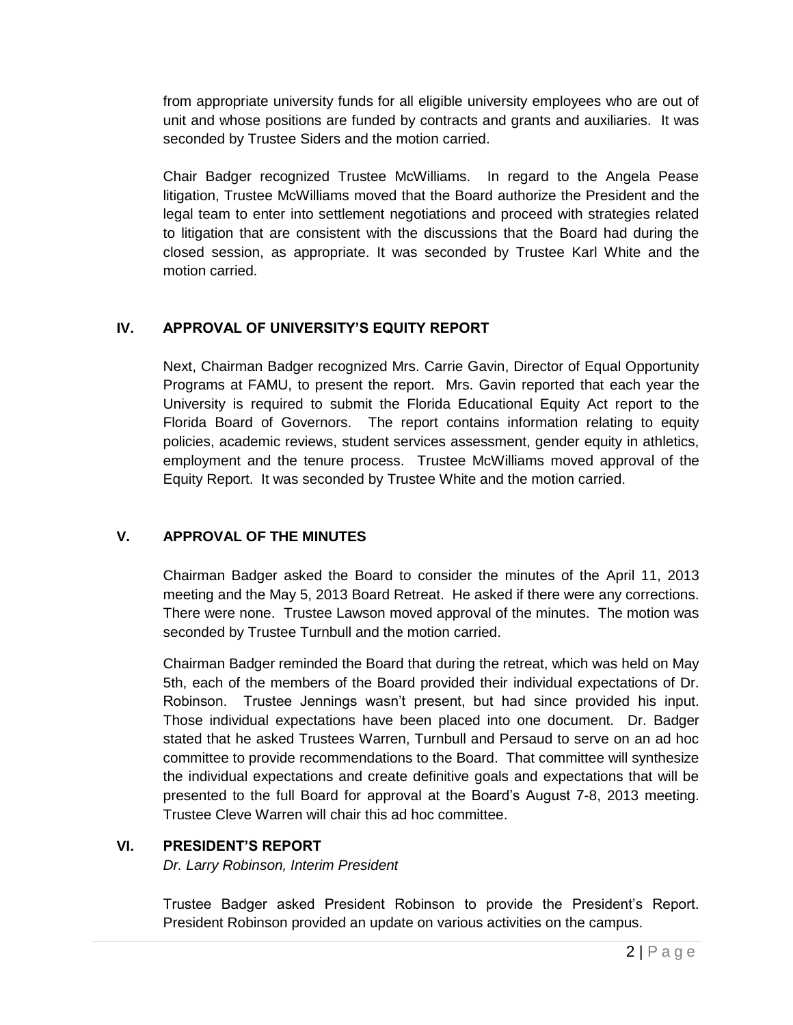from appropriate university funds for all eligible university employees who are out of unit and whose positions are funded by contracts and grants and auxiliaries. It was seconded by Trustee Siders and the motion carried.

Chair Badger recognized Trustee McWilliams. In regard to the Angela Pease litigation, Trustee McWilliams moved that the Board authorize the President and the legal team to enter into settlement negotiations and proceed with strategies related to litigation that are consistent with the discussions that the Board had during the closed session, as appropriate. It was seconded by Trustee Karl White and the motion carried.

# **IV. APPROVAL OF UNIVERSITY'S EQUITY REPORT**

Next, Chairman Badger recognized Mrs. Carrie Gavin, Director of Equal Opportunity Programs at FAMU, to present the report. Mrs. Gavin reported that each year the University is required to submit the Florida Educational Equity Act report to the Florida Board of Governors. The report contains information relating to equity policies, academic reviews, student services assessment, gender equity in athletics, employment and the tenure process. Trustee McWilliams moved approval of the Equity Report. It was seconded by Trustee White and the motion carried.

# **V. APPROVAL OF THE MINUTES**

Chairman Badger asked the Board to consider the minutes of the April 11, 2013 meeting and the May 5, 2013 Board Retreat. He asked if there were any corrections. There were none. Trustee Lawson moved approval of the minutes. The motion was seconded by Trustee Turnbull and the motion carried.

Chairman Badger reminded the Board that during the retreat, which was held on May 5th, each of the members of the Board provided their individual expectations of Dr. Robinson. Trustee Jennings wasn't present, but had since provided his input. Those individual expectations have been placed into one document. Dr. Badger stated that he asked Trustees Warren, Turnbull and Persaud to serve on an ad hoc committee to provide recommendations to the Board. That committee will synthesize the individual expectations and create definitive goals and expectations that will be presented to the full Board for approval at the Board's August 7-8, 2013 meeting. Trustee Cleve Warren will chair this ad hoc committee.

## **VI. PRESIDENT'S REPORT**

*Dr. Larry Robinson, Interim President*

Trustee Badger asked President Robinson to provide the President's Report. President Robinson provided an update on various activities on the campus.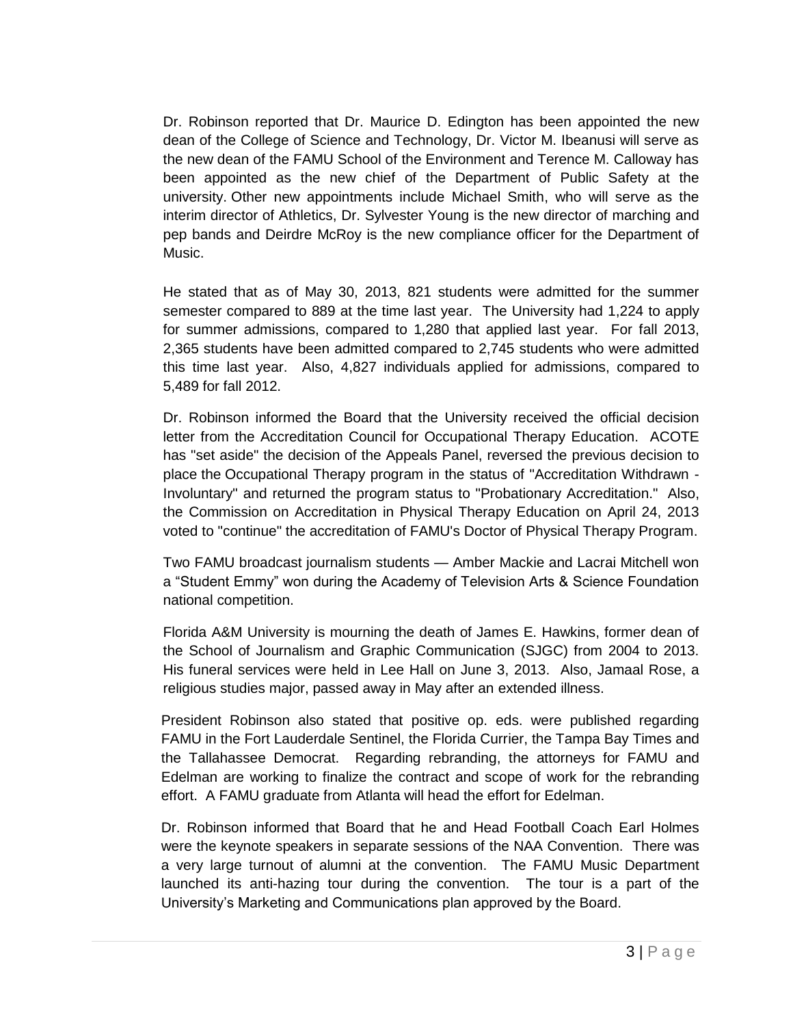Dr. Robinson reported that Dr. Maurice D. Edington has been appointed the new dean of the College of Science and Technology, Dr. Victor M. Ibeanusi will serve as the new dean of the FAMU School of the Environment and Terence M. Calloway has been appointed as the new chief of the Department of Public Safety at the university. Other new appointments include Michael Smith, who will serve as the interim director of Athletics, Dr. Sylvester Young is the new director of marching and pep bands and Deirdre McRoy is the new compliance officer for the Department of Music.

He stated that as of May 30, 2013, 821 students were admitted for the summer semester compared to 889 at the time last year. The University had 1,224 to apply for summer admissions, compared to 1,280 that applied last year. For fall 2013, 2,365 students have been admitted compared to 2,745 students who were admitted this time last year. Also, 4,827 individuals applied for admissions, compared to 5,489 for fall 2012.

Dr. Robinson informed the Board that the University received the official decision letter from the Accreditation Council for Occupational Therapy Education. ACOTE has "set aside" the decision of the Appeals Panel, reversed the previous decision to place the Occupational Therapy program in the status of "Accreditation Withdrawn - Involuntary" and returned the program status to "Probationary Accreditation." Also, the Commission on Accreditation in Physical Therapy Education on April 24, 2013 voted to "continue" the accreditation of FAMU's Doctor of Physical Therapy Program.

Two FAMU broadcast journalism students — Amber Mackie and Lacrai Mitchell won a "Student Emmy" won during the Academy of Television Arts & Science Foundation national competition.

Florida A&M University is mourning the death of James E. Hawkins, former dean of the School of Journalism and Graphic Communication (SJGC) from 2004 to 2013. His funeral services were held in Lee Hall on June 3, 2013. Also, Jamaal Rose, a religious studies major, passed away in May after an extended illness.

President Robinson also stated that positive op. eds. were published regarding FAMU in the Fort Lauderdale Sentinel, the Florida Currier, the Tampa Bay Times and the Tallahassee Democrat. Regarding rebranding, the attorneys for FAMU and Edelman are working to finalize the contract and scope of work for the rebranding effort. A FAMU graduate from Atlanta will head the effort for Edelman.

Dr. Robinson informed that Board that he and Head Football Coach Earl Holmes were the keynote speakers in separate sessions of the NAA Convention. There was a very large turnout of alumni at the convention. The FAMU Music Department launched its anti-hazing tour during the convention. The tour is a part of the University's Marketing and Communications plan approved by the Board.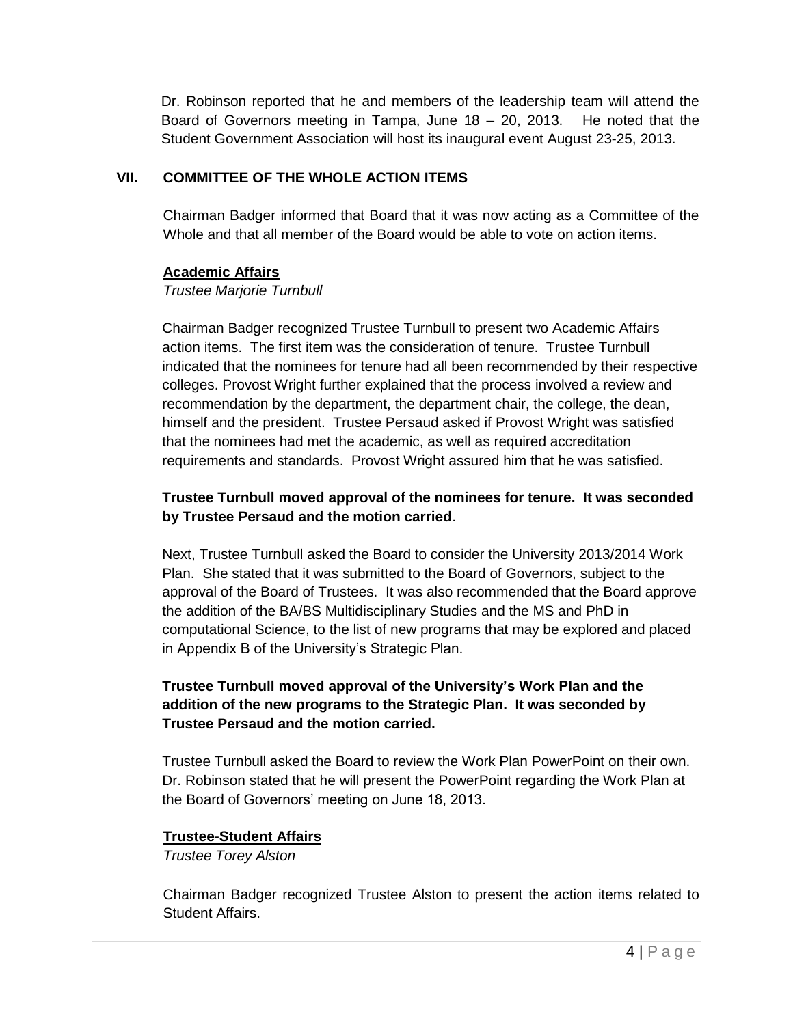Dr. Robinson reported that he and members of the leadership team will attend the Board of Governors meeting in Tampa, June 18 – 20, 2013. He noted that the Student Government Association will host its inaugural event August 23-25, 2013.

## **VII. COMMITTEE OF THE WHOLE ACTION ITEMS**

Chairman Badger informed that Board that it was now acting as a Committee of the Whole and that all member of the Board would be able to vote on action items.

### **Academic Affairs**

#### *Trustee Marjorie Turnbull*

Chairman Badger recognized Trustee Turnbull to present two Academic Affairs action items. The first item was the consideration of tenure. Trustee Turnbull indicated that the nominees for tenure had all been recommended by their respective colleges. Provost Wright further explained that the process involved a review and recommendation by the department, the department chair, the college, the dean, himself and the president. Trustee Persaud asked if Provost Wright was satisfied that the nominees had met the academic, as well as required accreditation requirements and standards. Provost Wright assured him that he was satisfied.

### **Trustee Turnbull moved approval of the nominees for tenure. It was seconded by Trustee Persaud and the motion carried**.

Next, Trustee Turnbull asked the Board to consider the University 2013/2014 Work Plan. She stated that it was submitted to the Board of Governors, subject to the approval of the Board of Trustees. It was also recommended that the Board approve the addition of the BA/BS Multidisciplinary Studies and the MS and PhD in computational Science, to the list of new programs that may be explored and placed in Appendix B of the University's Strategic Plan.

# **Trustee Turnbull moved approval of the University's Work Plan and the addition of the new programs to the Strategic Plan. It was seconded by Trustee Persaud and the motion carried.**

Trustee Turnbull asked the Board to review the Work Plan PowerPoint on their own. Dr. Robinson stated that he will present the PowerPoint regarding the Work Plan at the Board of Governors' meeting on June 18, 2013.

## **Trustee-Student Affairs**

*Trustee Torey Alston*

Chairman Badger recognized Trustee Alston to present the action items related to Student Affairs.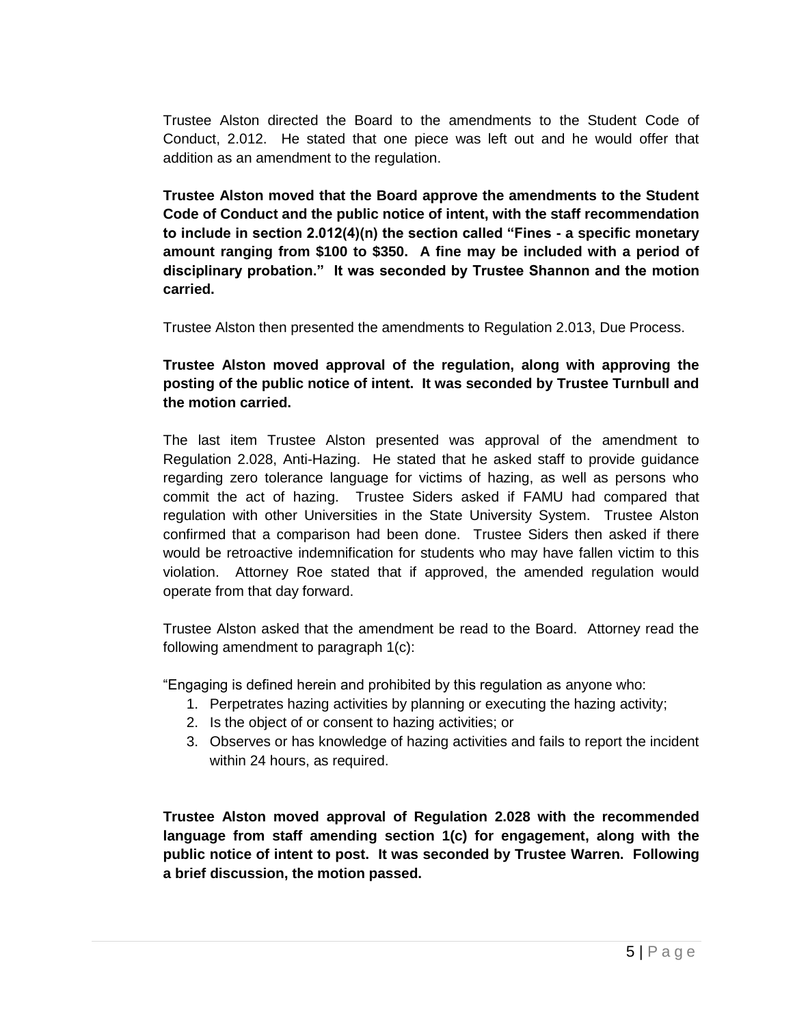Trustee Alston directed the Board to the amendments to the Student Code of Conduct, 2.012. He stated that one piece was left out and he would offer that addition as an amendment to the regulation.

**Trustee Alston moved that the Board approve the amendments to the Student Code of Conduct and the public notice of intent, with the staff recommendation to include in section 2.012(4)(n) the section called "Fines - a specific monetary amount ranging from \$100 to \$350. A fine may be included with a period of disciplinary probation." It was seconded by Trustee Shannon and the motion carried.** 

Trustee Alston then presented the amendments to Regulation 2.013, Due Process.

# **Trustee Alston moved approval of the regulation, along with approving the posting of the public notice of intent. It was seconded by Trustee Turnbull and the motion carried.**

The last item Trustee Alston presented was approval of the amendment to Regulation 2.028, Anti-Hazing. He stated that he asked staff to provide guidance regarding zero tolerance language for victims of hazing, as well as persons who commit the act of hazing. Trustee Siders asked if FAMU had compared that regulation with other Universities in the State University System. Trustee Alston confirmed that a comparison had been done. Trustee Siders then asked if there would be retroactive indemnification for students who may have fallen victim to this violation. Attorney Roe stated that if approved, the amended regulation would operate from that day forward.

Trustee Alston asked that the amendment be read to the Board. Attorney read the following amendment to paragraph 1(c):

"Engaging is defined herein and prohibited by this regulation as anyone who:

- 1. Perpetrates hazing activities by planning or executing the hazing activity;
- 2. Is the object of or consent to hazing activities; or
- 3. Observes or has knowledge of hazing activities and fails to report the incident within 24 hours, as required.

**Trustee Alston moved approval of Regulation 2.028 with the recommended language from staff amending section 1(c) for engagement, along with the public notice of intent to post. It was seconded by Trustee Warren. Following a brief discussion, the motion passed.**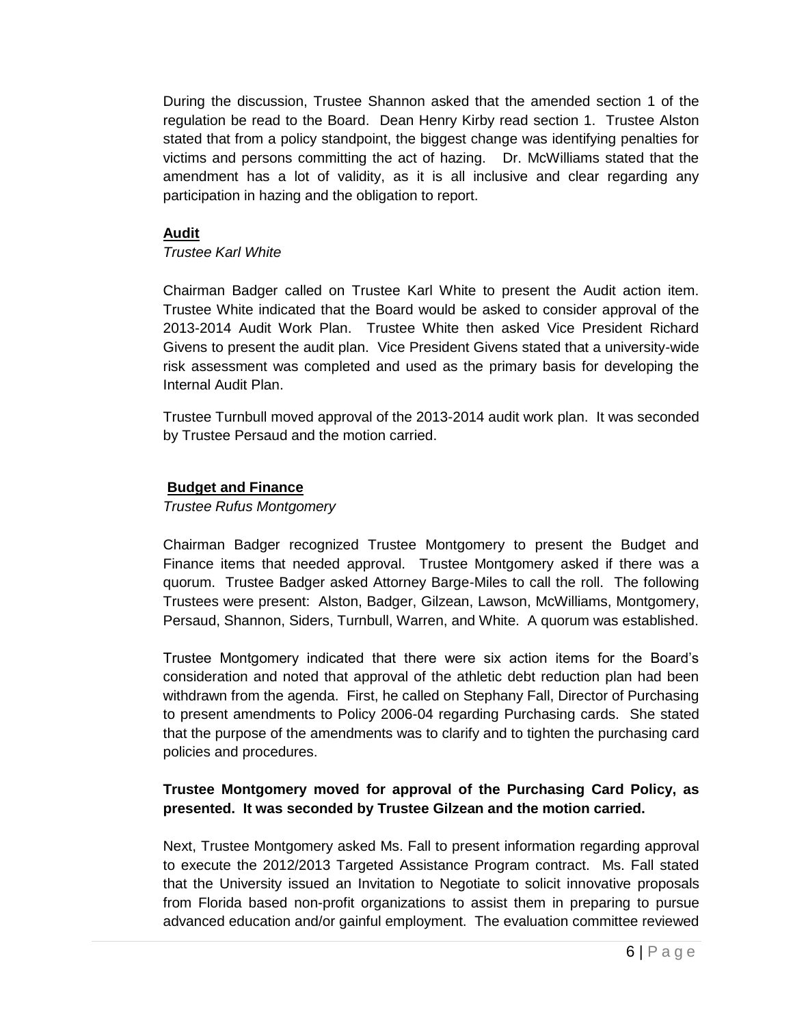During the discussion, Trustee Shannon asked that the amended section 1 of the regulation be read to the Board. Dean Henry Kirby read section 1. Trustee Alston stated that from a policy standpoint, the biggest change was identifying penalties for victims and persons committing the act of hazing. Dr. McWilliams stated that the amendment has a lot of validity, as it is all inclusive and clear regarding any participation in hazing and the obligation to report.

## **Audit**

## *Trustee Karl White*

Chairman Badger called on Trustee Karl White to present the Audit action item. Trustee White indicated that the Board would be asked to consider approval of the 2013-2014 Audit Work Plan. Trustee White then asked Vice President Richard Givens to present the audit plan. Vice President Givens stated that a university-wide risk assessment was completed and used as the primary basis for developing the Internal Audit Plan.

Trustee Turnbull moved approval of the 2013-2014 audit work plan. It was seconded by Trustee Persaud and the motion carried.

## **Budget and Finance**

### *Trustee Rufus Montgomery*

Chairman Badger recognized Trustee Montgomery to present the Budget and Finance items that needed approval. Trustee Montgomery asked if there was a quorum. Trustee Badger asked Attorney Barge-Miles to call the roll. The following Trustees were present: Alston, Badger, Gilzean, Lawson, McWilliams, Montgomery, Persaud, Shannon, Siders, Turnbull, Warren, and White. A quorum was established.

Trustee Montgomery indicated that there were six action items for the Board's consideration and noted that approval of the athletic debt reduction plan had been withdrawn from the agenda. First, he called on Stephany Fall, Director of Purchasing to present amendments to Policy 2006-04 regarding Purchasing cards. She stated that the purpose of the amendments was to clarify and to tighten the purchasing card policies and procedures.

# **Trustee Montgomery moved for approval of the Purchasing Card Policy, as presented. It was seconded by Trustee Gilzean and the motion carried.**

Next, Trustee Montgomery asked Ms. Fall to present information regarding approval to execute the 2012/2013 Targeted Assistance Program contract. Ms. Fall stated that the University issued an Invitation to Negotiate to solicit innovative proposals from Florida based non-profit organizations to assist them in preparing to pursue advanced education and/or gainful employment. The evaluation committee reviewed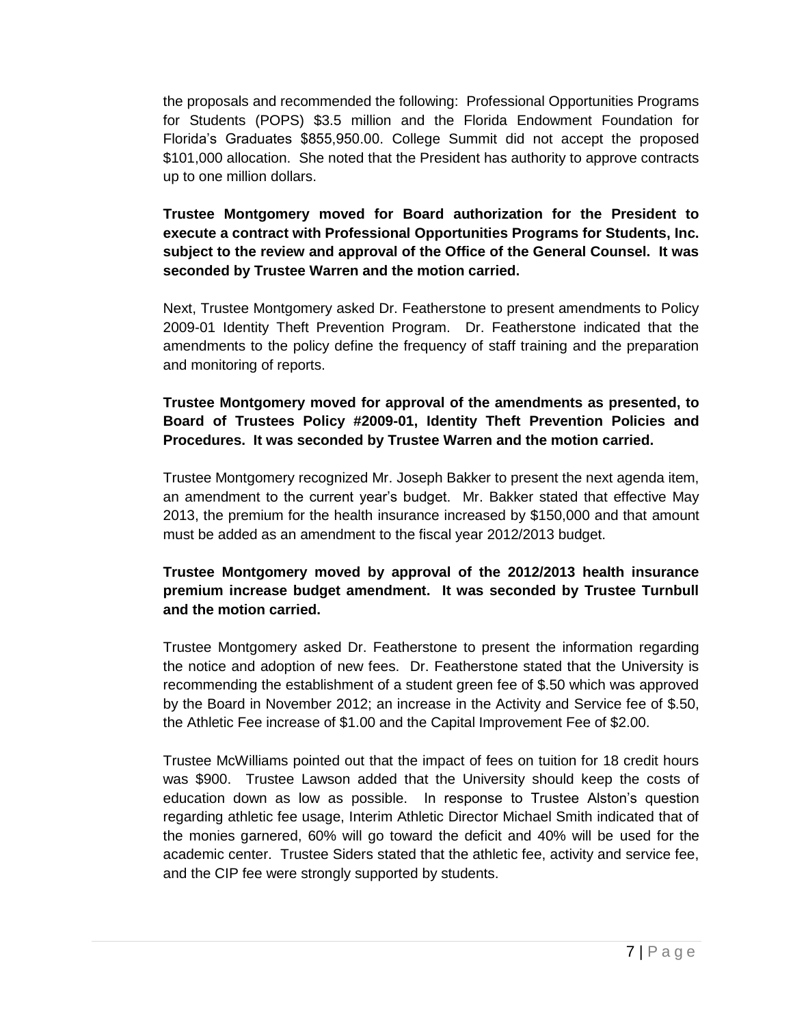the proposals and recommended the following: Professional Opportunities Programs for Students (POPS) \$3.5 million and the Florida Endowment Foundation for Florida's Graduates \$855,950.00. College Summit did not accept the proposed \$101,000 allocation. She noted that the President has authority to approve contracts up to one million dollars.

**Trustee Montgomery moved for Board authorization for the President to execute a contract with Professional Opportunities Programs for Students, Inc. subject to the review and approval of the Office of the General Counsel. It was seconded by Trustee Warren and the motion carried.**

Next, Trustee Montgomery asked Dr. Featherstone to present amendments to Policy 2009-01 Identity Theft Prevention Program. Dr. Featherstone indicated that the amendments to the policy define the frequency of staff training and the preparation and monitoring of reports.

**Trustee Montgomery moved for approval of the amendments as presented, to Board of Trustees Policy #2009-01, Identity Theft Prevention Policies and Procedures. It was seconded by Trustee Warren and the motion carried.**

Trustee Montgomery recognized Mr. Joseph Bakker to present the next agenda item, an amendment to the current year's budget. Mr. Bakker stated that effective May 2013, the premium for the health insurance increased by \$150,000 and that amount must be added as an amendment to the fiscal year 2012/2013 budget.

## **Trustee Montgomery moved by approval of the 2012/2013 health insurance premium increase budget amendment. It was seconded by Trustee Turnbull and the motion carried.**

Trustee Montgomery asked Dr. Featherstone to present the information regarding the notice and adoption of new fees. Dr. Featherstone stated that the University is recommending the establishment of a student green fee of \$.50 which was approved by the Board in November 2012; an increase in the Activity and Service fee of \$.50, the Athletic Fee increase of \$1.00 and the Capital Improvement Fee of \$2.00.

Trustee McWilliams pointed out that the impact of fees on tuition for 18 credit hours was \$900. Trustee Lawson added that the University should keep the costs of education down as low as possible. In response to Trustee Alston's question regarding athletic fee usage, Interim Athletic Director Michael Smith indicated that of the monies garnered, 60% will go toward the deficit and 40% will be used for the academic center. Trustee Siders stated that the athletic fee, activity and service fee, and the CIP fee were strongly supported by students.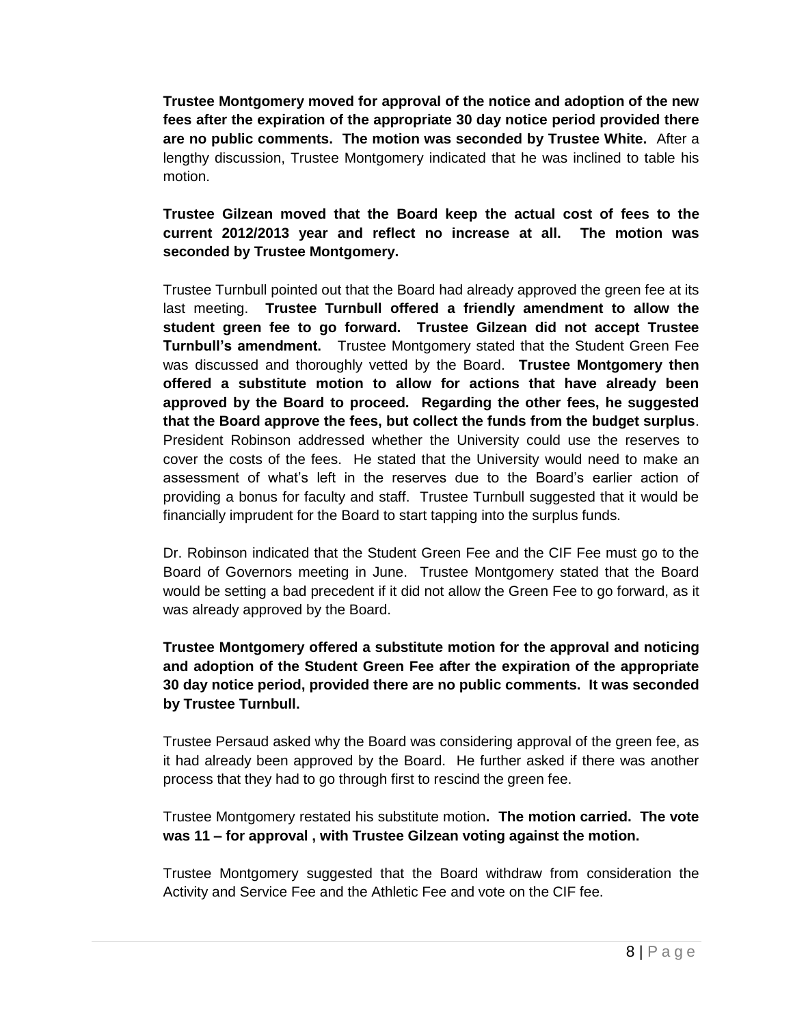**Trustee Montgomery moved for approval of the notice and adoption of the new fees after the expiration of the appropriate 30 day notice period provided there are no public comments. The motion was seconded by Trustee White.** After a lengthy discussion, Trustee Montgomery indicated that he was inclined to table his motion.

**Trustee Gilzean moved that the Board keep the actual cost of fees to the current 2012/2013 year and reflect no increase at all. The motion was seconded by Trustee Montgomery.**

Trustee Turnbull pointed out that the Board had already approved the green fee at its last meeting. **Trustee Turnbull offered a friendly amendment to allow the student green fee to go forward. Trustee Gilzean did not accept Trustee Turnbull's amendment.** Trustee Montgomery stated that the Student Green Fee was discussed and thoroughly vetted by the Board. **Trustee Montgomery then offered a substitute motion to allow for actions that have already been approved by the Board to proceed. Regarding the other fees, he suggested that the Board approve the fees, but collect the funds from the budget surplus**. President Robinson addressed whether the University could use the reserves to cover the costs of the fees. He stated that the University would need to make an assessment of what's left in the reserves due to the Board's earlier action of providing a bonus for faculty and staff. Trustee Turnbull suggested that it would be financially imprudent for the Board to start tapping into the surplus funds.

Dr. Robinson indicated that the Student Green Fee and the CIF Fee must go to the Board of Governors meeting in June. Trustee Montgomery stated that the Board would be setting a bad precedent if it did not allow the Green Fee to go forward, as it was already approved by the Board.

**Trustee Montgomery offered a substitute motion for the approval and noticing and adoption of the Student Green Fee after the expiration of the appropriate 30 day notice period, provided there are no public comments. It was seconded by Trustee Turnbull.** 

Trustee Persaud asked why the Board was considering approval of the green fee, as it had already been approved by the Board. He further asked if there was another process that they had to go through first to rescind the green fee.

Trustee Montgomery restated his substitute motion**. The motion carried. The vote was 11 – for approval , with Trustee Gilzean voting against the motion.**

Trustee Montgomery suggested that the Board withdraw from consideration the Activity and Service Fee and the Athletic Fee and vote on the CIF fee.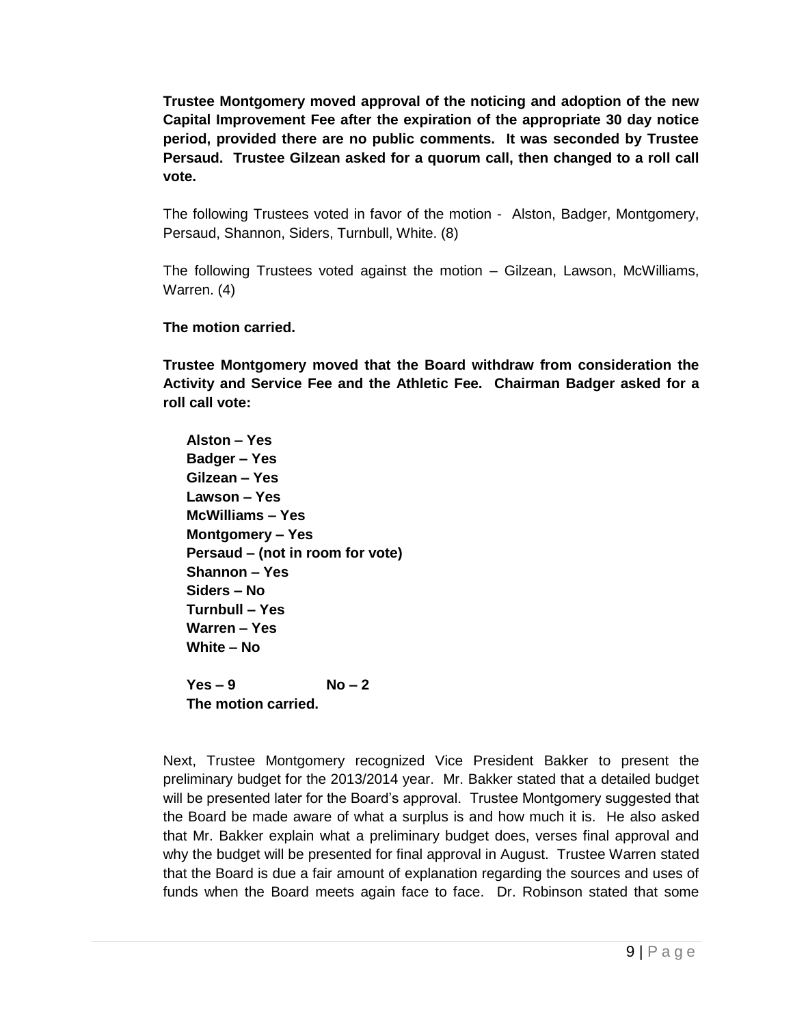**Trustee Montgomery moved approval of the noticing and adoption of the new Capital Improvement Fee after the expiration of the appropriate 30 day notice period, provided there are no public comments. It was seconded by Trustee Persaud. Trustee Gilzean asked for a quorum call, then changed to a roll call vote.** 

The following Trustees voted in favor of the motion - Alston, Badger, Montgomery, Persaud, Shannon, Siders, Turnbull, White. (8)

The following Trustees voted against the motion – Gilzean, Lawson, McWilliams, Warren. (4)

#### **The motion carried.**

**Trustee Montgomery moved that the Board withdraw from consideration the Activity and Service Fee and the Athletic Fee. Chairman Badger asked for a roll call vote:**

**Alston – Yes Badger – Yes Gilzean – Yes Lawson – Yes McWilliams – Yes Montgomery – Yes Persaud – (not in room for vote) Shannon – Yes Siders – No Turnbull – Yes Warren – Yes White – No Yes – 9 No – 2**

**The motion carried.**

Next, Trustee Montgomery recognized Vice President Bakker to present the preliminary budget for the 2013/2014 year. Mr. Bakker stated that a detailed budget will be presented later for the Board's approval. Trustee Montgomery suggested that the Board be made aware of what a surplus is and how much it is. He also asked that Mr. Bakker explain what a preliminary budget does, verses final approval and why the budget will be presented for final approval in August. Trustee Warren stated that the Board is due a fair amount of explanation regarding the sources and uses of funds when the Board meets again face to face. Dr. Robinson stated that some